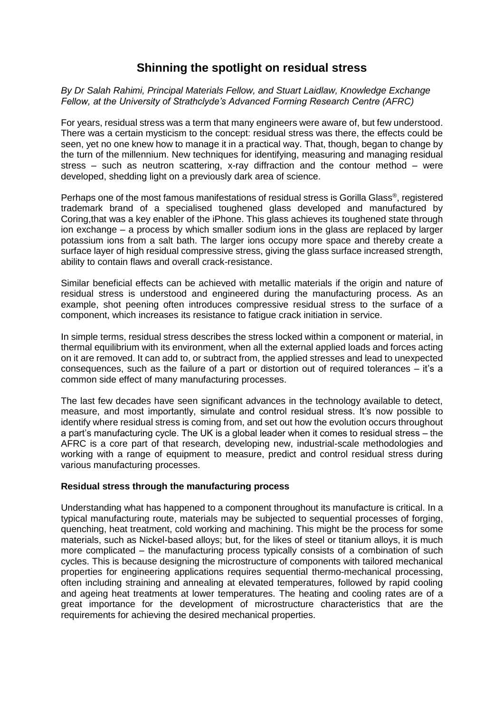# **Shinning the spotlight on residual stress**

*By Dr Salah Rahimi, Principal Materials Fellow, and Stuart Laidlaw, Knowledge Exchange Fellow, at the University of Strathclyde's Advanced Forming Research Centre (AFRC)*

For years, residual stress was a term that many engineers were aware of, but few understood. There was a certain mysticism to the concept: residual stress was there, the effects could be seen, yet no one knew how to manage it in a practical way. That, though, began to change by the turn of the millennium. New techniques for identifying, measuring and managing residual stress – such as neutron scattering, x-ray diffraction and the contour method – were developed, shedding light on a previously dark area of science.

Perhaps one of the most famous manifestations of residual stress is Gorilla Glass® , registered trademark brand of a specialised toughened glass developed and manufactured by Coring,that was a key enabler of the iPhone. This glass achieves its toughened state through ion exchange – a process by which smaller sodium ions in the glass are replaced by larger potassium ions from a salt bath. The larger ions occupy more space and thereby create a surface layer of high residual compressive stress, giving the glass surface increased strength, ability to contain flaws and overall crack-resistance.

Similar beneficial effects can be achieved with metallic materials if the origin and nature of residual stress is understood and engineered during the manufacturing process. As an example, shot peening often introduces compressive residual stress to the surface of a component, which increases its resistance to fatigue crack initiation in service.

In simple terms, residual stress describes the stress locked within a component or material, in thermal equilibrium with its environment, when all the external applied loads and forces acting on it are removed. It can add to, or subtract from, the applied stresses and lead to unexpected consequences, such as the failure of a part or distortion out of required tolerances – it's a common side effect of many manufacturing processes.

The last few decades have seen significant advances in the technology available to detect, measure, and most importantly, simulate and control residual stress. It's now possible to identify where residual stress is coming from, and set out how the evolution occurs throughout a part's manufacturing cycle. The UK is a global leader when it comes to residual stress – the AFRC is a core part of that research, developing new, industrial-scale methodologies and working with a range of equipment to measure, predict and control residual stress during various manufacturing processes.

## **Residual stress through the manufacturing process**

Understanding what has happened to a component throughout its manufacture is critical. In a typical manufacturing route, materials may be subjected to sequential processes of forging, quenching, heat treatment, cold working and machining. This might be the process for some materials, such as Nickel-based alloys; but, for the likes of steel or titanium alloys, it is much more complicated – the manufacturing process typically consists of a combination of such cycles. This is because designing the microstructure of components with tailored mechanical properties for engineering applications requires sequential thermo-mechanical processing, often including straining and annealing at elevated temperatures, followed by rapid cooling and ageing heat treatments at lower temperatures. The heating and cooling rates are of a great importance for the development of microstructure characteristics that are the requirements for achieving the desired mechanical properties.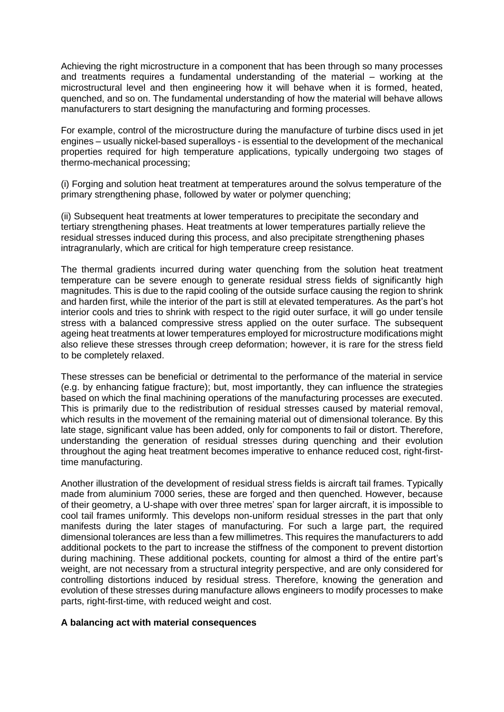Achieving the right microstructure in a component that has been through so many processes and treatments requires a fundamental understanding of the material – working at the microstructural level and then engineering how it will behave when it is formed, heated, quenched, and so on. The fundamental understanding of how the material will behave allows manufacturers to start designing the manufacturing and forming processes.

For example, control of the microstructure during the manufacture of turbine discs used in jet engines – usually nickel-based superalloys - is essential to the development of the mechanical properties required for high temperature applications, typically undergoing two stages of thermo-mechanical processing;

(i) Forging and solution heat treatment at temperatures around the solvus temperature of the primary strengthening phase, followed by water or polymer quenching;

(ii) Subsequent heat treatments at lower temperatures to precipitate the secondary and tertiary strengthening phases. Heat treatments at lower temperatures partially relieve the residual stresses induced during this process, and also precipitate strengthening phases intragranularly, which are critical for high temperature creep resistance.

The thermal gradients incurred during water quenching from the solution heat treatment temperature can be severe enough to generate residual stress fields of significantly high magnitudes. This is due to the rapid cooling of the outside surface causing the region to shrink and harden first, while the interior of the part is still at elevated temperatures. As the part's hot interior cools and tries to shrink with respect to the rigid outer surface, it will go under tensile stress with a balanced compressive stress applied on the outer surface. The subsequent ageing heat treatments at lower temperatures employed for microstructure modifications might also relieve these stresses through creep deformation; however, it is rare for the stress field to be completely relaxed.

These stresses can be beneficial or detrimental to the performance of the material in service (e.g. by enhancing fatigue fracture); but, most importantly, they can influence the strategies based on which the final machining operations of the manufacturing processes are executed. This is primarily due to the redistribution of residual stresses caused by material removal, which results in the movement of the remaining material out of dimensional tolerance. By this late stage, significant value has been added, only for components to fail or distort. Therefore, understanding the generation of residual stresses during quenching and their evolution throughout the aging heat treatment becomes imperative to enhance reduced cost, right-firsttime manufacturing.

Another illustration of the development of residual stress fields is aircraft tail frames. Typically made from aluminium 7000 series, these are forged and then quenched. However, because of their geometry, a U-shape with over three metres' span for larger aircraft, it is impossible to cool tail frames uniformly. This develops non-uniform residual stresses in the part that only manifests during the later stages of manufacturing. For such a large part, the required dimensional tolerances are less than a few millimetres. This requires the manufacturers to add additional pockets to the part to increase the stiffness of the component to prevent distortion during machining. These additional pockets, counting for almost a third of the entire part's weight, are not necessary from a structural integrity perspective, and are only considered for controlling distortions induced by residual stress. Therefore, knowing the generation and evolution of these stresses during manufacture allows engineers to modify processes to make parts, right-first-time, with reduced weight and cost.

#### **A balancing act with material consequences**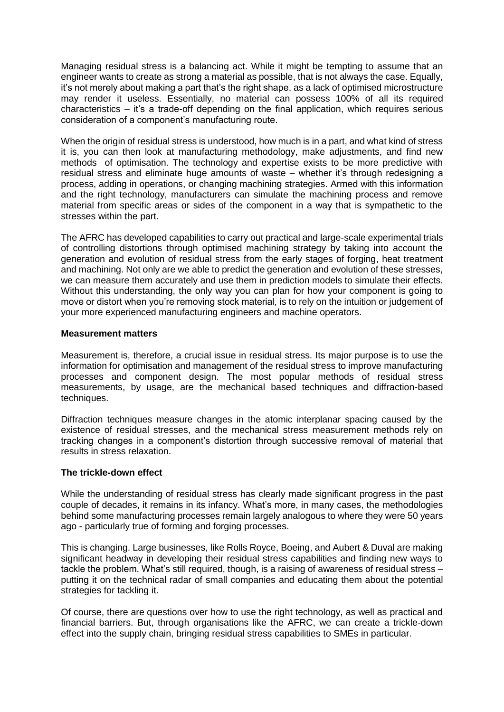Managing residual stress is a balancing act. While it might be tempting to assume that an engineer wants to create as strong a material as possible, that is not always the case. Equally, it's not merely about making a part that's the right shape, as a lack of optimised microstructure may render it useless. Essentially, no material can possess 100% of all its required characteristics – it's a trade-off depending on the final application, which requires serious consideration of a component's manufacturing route.

When the origin of residual stress is understood, how much is in a part, and what kind of stress it is, you can then look at manufacturing methodology, make adjustments, and find new methods of optimisation. The technology and expertise exists to be more predictive with residual stress and eliminate huge amounts of waste – whether it's through redesigning a process, adding in operations, or changing machining strategies. Armed with this information and the right technology, manufacturers can simulate the machining process and remove material from specific areas or sides of the component in a way that is sympathetic to the stresses within the part.

The AFRC has developed capabilities to carry out practical and large-scale experimental trials of controlling distortions through optimised machining strategy by taking into account the generation and evolution of residual stress from the early stages of forging, heat treatment and machining. Not only are we able to predict the generation and evolution of these stresses, we can measure them accurately and use them in prediction models to simulate their effects. Without this understanding, the only way you can plan for how your component is going to move or distort when you're removing stock material, is to rely on the intuition or judgement of your more experienced manufacturing engineers and machine operators.

### **Measurement matters**

Measurement is, therefore, a crucial issue in residual stress. Its major purpose is to use the information for optimisation and management of the residual stress to improve manufacturing processes and component design. The most popular methods of residual stress measurements, by usage, are the mechanical based techniques and diffraction-based techniques.

Diffraction techniques measure changes in the atomic interplanar spacing caused by the existence of residual stresses, and the mechanical stress measurement methods rely on tracking changes in a component's distortion through successive removal of material that results in stress relaxation.

## **The trickle-down effect**

While the understanding of residual stress has clearly made significant progress in the past couple of decades, it remains in its infancy. What's more, in many cases, the methodologies behind some manufacturing processes remain largely analogous to where they were 50 years ago - particularly true of forming and forging processes.

This is changing. Large businesses, like Rolls Royce, Boeing, and Aubert & Duval are making significant headway in developing their residual stress capabilities and finding new ways to tackle the problem. What's still required, though, is a raising of awareness of residual stress – putting it on the technical radar of small companies and educating them about the potential strategies for tackling it.

Of course, there are questions over how to use the right technology, as well as practical and financial barriers. But, through organisations like the AFRC, we can create a trickle-down effect into the supply chain, bringing residual stress capabilities to SMEs in particular.